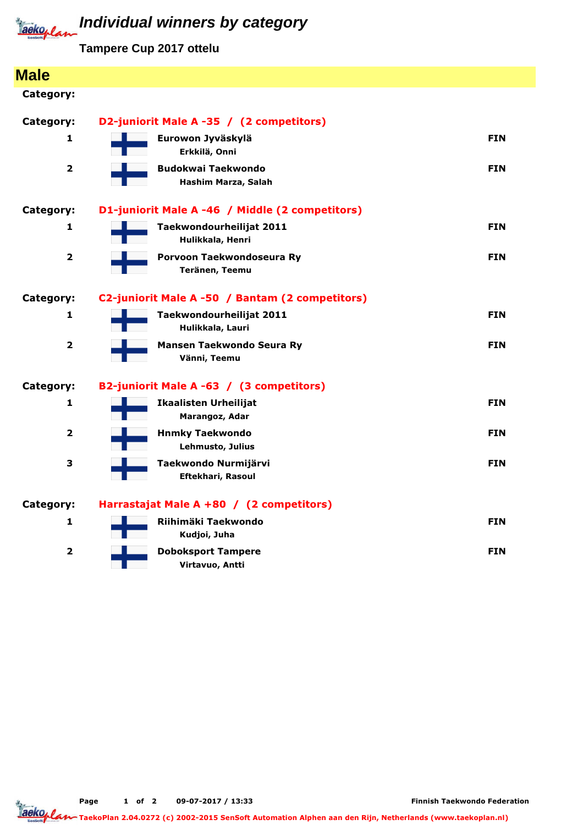

## **Individual winners by category**

**Tampere Cup 2017 ottelu**

| <b>Male</b>    |                                                  |            |
|----------------|--------------------------------------------------|------------|
| Category:      |                                                  |            |
| Category:      | D2-juniorit Male A -35 / (2 competitors)         |            |
| 1              | Eurowon Jyväskylä<br>Erkkilä, Onni               | <b>FIN</b> |
| $\overline{2}$ | <b>Budokwai Taekwondo</b><br>Hashim Marza, Salah | <b>FIN</b> |
| Category:      | D1-juniorit Male A -46 / Middle (2 competitors)  |            |
| 1              | Taekwondourheilijat 2011<br>Hulikkala, Henri     | <b>FIN</b> |
| $\overline{2}$ | Porvoon Taekwondoseura Ry<br>Teränen, Teemu      | <b>FIN</b> |
| Category:      | C2-juniorit Male A -50 / Bantam (2 competitors)  |            |
| 1              | Taekwondourheilijat 2011<br>Hulikkala, Lauri     | <b>FIN</b> |
| $\mathbf{2}$   | Mansen Taekwondo Seura Ry<br>Vänni, Teemu        | <b>FIN</b> |
| Category:      | B2-juniorit Male A -63 / (3 competitors)         |            |
| 1              | <b>Ikaalisten Urheilijat</b><br>Marangoz, Adar   | <b>FIN</b> |
| $\mathbf{2}$   | <b>Hnmky Taekwondo</b><br>Lehmusto, Julius       | <b>FIN</b> |
| 3              | Taekwondo Nurmijärvi<br><b>Eftekhari, Rasoul</b> | <b>FIN</b> |
| Category:      | Harrastajat Male A +80 / (2 competitors)         |            |
| 1              | Riihimäki Taekwondo<br>Kudjoi, Juha              | <b>FIN</b> |
| $\overline{2}$ | <b>Doboksport Tampere</b><br>Virtavuo, Antti     | <b>FIN</b> |

Page 1 of 2 09-07-2017 / 13:33

Tage<br><u>Taekoplan 1996</u> TaekoPlan 2.04.0272 (c) 2002-2015 SenSoft Automation Alphen aan den Rijn, Netherlands (www.taekoplan.nl)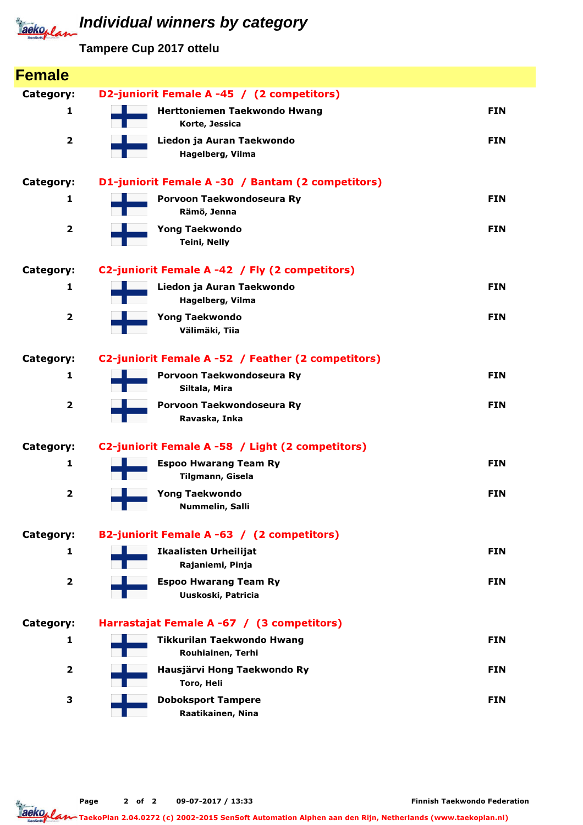## **Individual winners by category**

**Tampere Cup 2017 ottelu**

| <b>Female</b>           |                                                        |            |  |  |  |  |  |  |
|-------------------------|--------------------------------------------------------|------------|--|--|--|--|--|--|
| Category:               | D2-juniorit Female A -45 / (2 competitors)             |            |  |  |  |  |  |  |
| 1                       | Herttoniemen Taekwondo Hwang<br>Korte, Jessica         | <b>FIN</b> |  |  |  |  |  |  |
| $\overline{\mathbf{2}}$ | Liedon ja Auran Taekwondo<br>Hagelberg, Vilma          | <b>FIN</b> |  |  |  |  |  |  |
| Category:               | D1-juniorit Female A -30 / Bantam (2 competitors)      |            |  |  |  |  |  |  |
| 1                       | Porvoon Taekwondoseura Ry<br>Rämö, Jenna               | <b>FIN</b> |  |  |  |  |  |  |
| $\overline{\mathbf{2}}$ | <b>Yong Taekwondo</b><br><b>Teini, Nelly</b>           | <b>FIN</b> |  |  |  |  |  |  |
| Category:               | C2-juniorit Female A -42 / Fly (2 competitors)         |            |  |  |  |  |  |  |
| 1                       | Liedon ja Auran Taekwondo<br>Hagelberg, Vilma          | <b>FIN</b> |  |  |  |  |  |  |
| $\overline{\mathbf{2}}$ | <b>Yong Taekwondo</b><br>Välimäki, Tiia                | <b>FIN</b> |  |  |  |  |  |  |
| Category:               | C2-juniorit Female A -52 / Feather (2 competitors)     |            |  |  |  |  |  |  |
| 1                       | Porvoon Taekwondoseura Ry<br>Siltala, Mira             | <b>FIN</b> |  |  |  |  |  |  |
| $\overline{\mathbf{2}}$ | Porvoon Taekwondoseura Ry<br>Ravaska, Inka             | <b>FIN</b> |  |  |  |  |  |  |
| Category:               | C2-juniorit Female A -58 / Light (2 competitors)       |            |  |  |  |  |  |  |
| 1                       | <b>Espoo Hwarang Team Ry</b><br>Tilgmann, Gisela       | <b>FIN</b> |  |  |  |  |  |  |
| $\overline{\mathbf{2}}$ | <b>Yong Taekwondo</b><br>Nummelin, Salli               | <b>FIN</b> |  |  |  |  |  |  |
| Category:               | B2-juniorit Female A -63 / (2 competitors)             |            |  |  |  |  |  |  |
| 1                       | <b>Ikaalisten Urheilijat</b><br>Rajaniemi, Pinja       | <b>FIN</b> |  |  |  |  |  |  |
| $\overline{\mathbf{2}}$ | <b>Espoo Hwarang Team Ry</b><br>Uuskoski, Patricia     | <b>FIN</b> |  |  |  |  |  |  |
| Category:               | Harrastajat Female A -67 / (3 competitors)             |            |  |  |  |  |  |  |
| 1                       | <b>Tikkurilan Taekwondo Hwang</b><br>Rouhiainen, Terhi | <b>FIN</b> |  |  |  |  |  |  |
| $\overline{\mathbf{2}}$ | Hausjärvi Hong Taekwondo Ry<br>Toro, Heli              | <b>FIN</b> |  |  |  |  |  |  |
| 3                       | <b>Doboksport Tampere</b><br>Raatikainen, Nina         | <b>FIN</b> |  |  |  |  |  |  |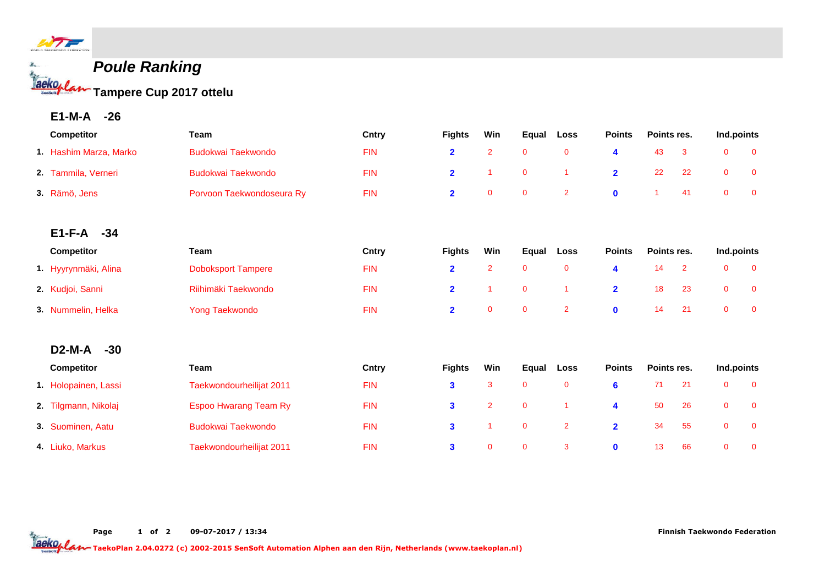

## **Poule Ranking Tampere Cup 2017 ottelu**

**E1-M-A -26**

| Competitor             | Team                         | Cntry        | <b>Fights</b>           | Win            | Equal       | Loss           | <b>Points</b>  | Points res. |                | Ind.points   |                |
|------------------------|------------------------------|--------------|-------------------------|----------------|-------------|----------------|----------------|-------------|----------------|--------------|----------------|
| 1. Hashim Marza, Marko | <b>Budokwai Taekwondo</b>    | <b>FIN</b>   | $\overline{\mathbf{2}}$ | $\overline{2}$ | $\mathbf 0$ | $\mathbf{0}$   | 4              | 43          | 3              | $\mathbf 0$  | $\overline{0}$ |
| 2. Tammila, Verneri    | <b>Budokwai Taekwondo</b>    | <b>FIN</b>   | $\overline{2}$          | 1              | $\mathbf 0$ |                | $\overline{2}$ | 22          | 22             | $\mathbf 0$  | $\mathbf 0$    |
| 3. Rämö, Jens          | Porvoon Taekwondoseura Ry    | <b>FIN</b>   | $\overline{2}$          | $\mathbf{0}$   | $\mathbf 0$ | $\overline{2}$ | $\mathbf{0}$   | 1           | 41             | $\mathbf 0$  | $\mathbf 0$    |
| $E1-F-A$<br>$-34$      |                              |              |                         |                |             |                |                |             |                |              |                |
| Competitor             | <b>Team</b>                  | Cntry        | <b>Fights</b>           | Win            | Equal       | Loss           | <b>Points</b>  | Points res. |                | Ind.points   |                |
| 1. Hyyrynmäki, Alina   | <b>Doboksport Tampere</b>    | <b>FIN</b>   | $\overline{\mathbf{2}}$ | $\overline{2}$ | $\mathbf 0$ | $\mathbf 0$    | 4              | 14          | $\overline{2}$ | $\mathbf 0$  | $\mathbf 0$    |
| 2. Kudjoi, Sanni       | Riihimäki Taekwondo          | <b>FIN</b>   | $\overline{2}$          | 1              | $\mathbf 0$ |                | $\overline{2}$ | 18          | 23             | $\pmb{0}$    | $\mathbf 0$    |
| 3. Nummelin, Helka     | <b>Yong Taekwondo</b>        | <b>FIN</b>   | $\overline{\mathbf{2}}$ | $\mathbf{0}$   | $\mathbf 0$ | $\overline{2}$ | $\mathbf{0}$   | 14          | 21             | $\mathbf{0}$ | $\overline{0}$ |
| $D2-M-A$<br>$-30$      |                              |              |                         |                |             |                |                |             |                |              |                |
| <b>Competitor</b>      | <b>Team</b>                  | <b>Cntry</b> | <b>Fights</b>           | Win            | Equal       | Loss           | <b>Points</b>  | Points res. |                | Ind.points   |                |
| 1. Holopainen, Lassi   | Taekwondourheilijat 2011     | <b>FIN</b>   | $\mathbf{3}$            | 3              | $\mathbf 0$ | $\mathbf 0$    | 6              | 71          | 21             | $\mathbf 0$  | $\overline{0}$ |
| 2. Tilgmann, Nikolaj   | <b>Espoo Hwarang Team Ry</b> | <b>FIN</b>   | $\mathbf{3}$            | $\overline{2}$ | $\mathbf 0$ |                | 4              | 50          | 26             | $\mathbf{0}$ | $\mathbf{0}$   |
| 3. Suominen, Aatu      | <b>Budokwai Taekwondo</b>    | <b>FIN</b>   | $\mathbf{3}$            | 1              | $\pmb{0}$   | $\overline{2}$ | $\overline{2}$ | 34          | 55             | $\mathbf 0$  | $\mathbf 0$    |
| 4. Liuko, Markus       | Taekwondourheilijat 2011     | <b>FIN</b>   | $\mathbf{3}$            | $\mathbf{0}$   | $\mathbf 0$ | 3              | $\mathbf{0}$   | 13          | 66             | $\mathbf 0$  | $\mathbf 0$    |

TaekoPlan 2.04.0272 (c) 2002-2015 SenSoft Automation Alphen aan den Rijn, Netherlands (www.taekoplan.nl)